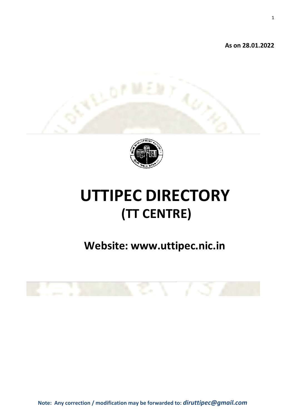**As on 28.01.2022** 





# **UTTIPEC DIRECTORY (TT CENTRE)**

# **Website: [www.uttipec.nic.in](http://www.uttipec.nic.in/)**



**Note: Any correction / modification may be forwarded to:** *[diruttipec@gmail.com](mailto:diruttipec@gmail.com)*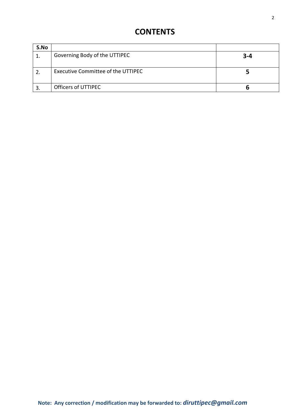### **CONTENTS**

| S.No |                                    |         |
|------|------------------------------------|---------|
|      | Governing Body of the UTTIPEC      | $3 - 4$ |
|      | Executive Committee of the UTTIPEC |         |
|      | Officers of UTTIPEC                |         |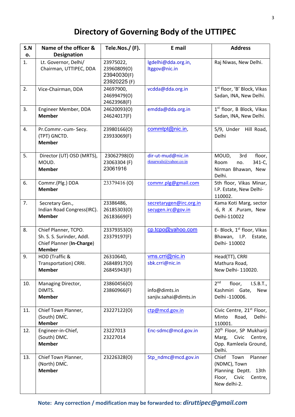## **Directory of Governing Body of the UTTIPEC**

| S.N | Name of the officer &                                                                           | Tele.Nos./(F).                                          | E mail                                        | <b>Address</b>                                                                                        |
|-----|-------------------------------------------------------------------------------------------------|---------------------------------------------------------|-----------------------------------------------|-------------------------------------------------------------------------------------------------------|
| о.  | <b>Designation</b>                                                                              |                                                         |                                               |                                                                                                       |
| 1.  | Lt. Governor, Delhi/<br>Chairman, UTTIPEC, DDA                                                  | 23975022,<br>23960809(O)<br>23940030(F)<br>23920225 (F) | lgdelhi@dda.org.in,<br>ltggov@nic.in          | Raj Niwas, New Delhi.                                                                                 |
| 2.  | Vice-Chairman, DDA                                                                              | 24697900,<br>24699479(O)<br>24623968(F)                 | vcdda@dda.org.in                              | 1st floor, 'B' Block, Vikas<br>Sadan, INA, New Delhi.                                                 |
| 3.  | Engineer Member, DDA<br><b>Member</b>                                                           | 24620093(O)<br>24624017(F)                              | emdda@dda.org.in                              | 1st floor, B Block, Vikas<br>Sadan, INA, New Delhi.                                                   |
| 4.  | Pr.Commr.-cum-Secy.<br>(TPT) GNCTD.<br><b>Member</b>                                            | 23980166(O)<br>23933069(F)                              | commtpt@nic.in,                               | 5/9, Under<br>Hill Road,<br>Delhi                                                                     |
| 5.  | Director (UT) OSD (MRTS),<br>MOUD.<br><b>Member</b>                                             | 23062798(O)<br>23063304 (F)<br>23061916                 | dir-ut-mud@nic.in<br>rknarwals@yahoo.co.in    | 3rd<br>MOUD,<br>floor,<br>341-C,<br>Room<br>no.<br>Nirman Bhawan, New<br>Delhi.                       |
| 6.  | Commr.(Plg.) DDA<br><b>Member</b>                                                               | 23379416(O)                                             | commr.plg@gmail.com                           | 5th floor, Vikas Minar,<br>I.P. Estate, New Delhi-<br>110002.                                         |
| 7.  | Secretary Gen.,<br>Indian Road Congress(IRC).<br><b>Member</b>                                  | 23386486,<br>26185303(O)<br>26183669(F)                 | secretarygen@irc.org.in<br>secygen.irc@gov.in | Kama Koti Marg, sector<br>-6, R .K .Puram, New<br>Delhi-110022                                        |
| 8.  | Chief Planner, TCPO.<br>Sh. S. S. Surinder, Addl.<br>Chief Planner (In-Charge)<br><b>Member</b> | 23379353(O)<br>23379197(F)                              | cp.tcpo@yahoo.com                             | E- Block, 1 <sup>st</sup> floor, Vikas<br>Bhawan, I.P. Estate,<br>Delhi-110002                        |
| 9.  | HOD (Traffic &<br>Transportation) CRRI.<br><b>Member</b>                                        | 26310640,<br>26848917(0)<br>26845943(F)                 | vms.crri@nic.in<br>sbk.crri@nic.in            | Head(TT), CRRI<br>Mathura Road,<br>New Delhi- 110020.                                                 |
| 10. | Managing Director,<br>DIMTS.<br><b>Member</b>                                                   | 23860456(O)<br>23860966(F)                              | info@dimts.in<br>sanjiv.sahai@dimts.in        | 2 <sup>nd</sup><br>floor,<br>I.S.B.T.,<br>Kashmiri Gate,<br>New<br>Delhi -110006.                     |
| 11. | Chief Town Planner,<br>(South) DMC.<br><b>Member</b>                                            | 23227122(0)                                             | ctp@mcd.gov.in                                | Civic Centre, 21 <sup>st</sup> Floor,<br>Minto<br>Road,<br>Delhi-<br>110001.                          |
| 12. | Engineer-in-Chief,<br>(South) DMC.<br><b>Member</b>                                             | 23227013<br>23227014                                    | Enc-sdmc@mcd.gov.in                           | 20 <sup>th</sup> Floor, SP Mukharji<br>Marg, Civic Centre,<br>Opp. Ramleela Ground,<br>Delhi.         |
| 13. | Chief Town Planner,<br>(North) DMC.<br><b>Member</b>                                            | 23226328(O)                                             | Stp_ndmc@mcd.gov.in                           | Chief Town<br>Planner<br>(NDMC), Town<br>Planning Deptt. 13th<br>Floor, Civic Centre,<br>New delhi-2. |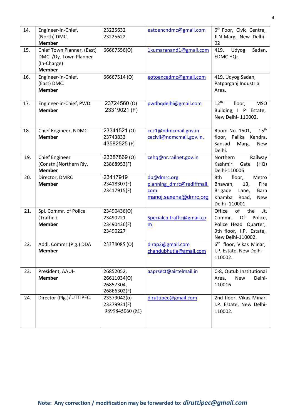| 14. | Engineer-in-Chief,<br>(North) DMC.<br><b>Member</b>                                  | 23225632<br>23225622                                 | eatoencndmc@gmail.com                                                    | 6 <sup>th</sup> Foor, Civic Centre,<br>JLN Marg, New Delhi-<br>02                                                                     |
|-----|--------------------------------------------------------------------------------------|------------------------------------------------------|--------------------------------------------------------------------------|---------------------------------------------------------------------------------------------------------------------------------------|
| 15. | Chief Town Planner, (East)<br>DMC. /Dy. Town Planner<br>(In-Charge)<br><b>Member</b> | 66667556(O)                                          | 1kumaranand1@gmail.com                                                   | 419, Udyog<br>Sadan,<br>EDMC HQr.                                                                                                     |
| 16. | Engineer-in-Chief,<br>(East) DMC.<br><b>Member</b>                                   | 66667514 (O)                                         | eotoencedmc@gmail.com                                                    | 419, Udyog Sadan,<br>Patparganj Industrial<br>Area.                                                                                   |
| 17. | Engineer-in-Chief, PWD.<br><b>Member</b>                                             | 23724560 (O)<br>23319021 (F)                         | pwdhqdelhi@gmail.com                                                     | $12^{\text{th}}$<br>floor,<br><b>MSO</b><br>Building, I P Estate,<br>New Delhi- 110002.                                               |
| 18. | Chief Engineer, NDMC.<br><b>Member</b>                                               | 23341521 (0)<br>23743833<br>43582525 (F)             | cec1@ndmcmail.gov.in<br>cecivil@ndmcmail.gov.in,                         | $15^{\text{th}}$<br>Room No. 1501,<br>floor, Palika<br>Kendra,<br>Sansad<br>Marg,<br>New<br>Delhi.                                    |
| 19. | <b>Chief Engineer</b><br>(Constn.) Northern Rly.<br><b>Member</b>                    | 23387869(0)<br>23868953(F)                           | cehq@nr.railnet.gov.in                                                   | Railway<br>Northern<br>Kashmiri<br>Gate<br>(HQ)<br>Delhi-110006                                                                       |
| 20. | Director, DMRC<br><b>Member</b>                                                      | 23417919<br>23418307(F)<br>23417915(F)               | dp@dmrc.org<br>planning dmrc@rediffmail.<br>com<br>manoj.saxena@dmrc.org | 8th<br>floor,<br>Metro<br>Bhawan,<br>13,<br>Fire<br><b>Brigade</b><br>Lane,<br>Bara<br>Khamba<br>Road,<br><b>New</b><br>Delhi -110001 |
| 21. | Spl. Commr. of Police<br>(Traffic)<br><b>Member</b>                                  | 23490436(O)<br>23490221<br>23490436(F)<br>23490227   | Specialcp.traffic@gmail.co<br>m                                          | Office<br>of<br>the<br>Jt.<br>Of<br>Police,<br>Commr.<br>Police Head Quarter,<br>9th floor, I.P. Estate,<br>New Delhi-110002.         |
| 22. | Addl. Commr.(Plg.) DDA<br><b>Member</b>                                              | 23378085 (O)                                         | dirap2@gmail.com<br>chandubhutia@gmail.com                               | 6 <sup>th</sup> floor, Vikas Minar,<br>I.P. Estate, New Delhi-<br>110002.                                                             |
| 23. | President, AAUI-<br><b>Member</b>                                                    | 26852052,<br>26611034(O)<br>26857304,<br>26866302(F) | aaprsect@airtelmail.in                                                   | C-8, Qutub Institutional<br><b>New</b><br>Delhi-<br>Area,<br>110016                                                                   |
| 24. | Director (Plg.)/UTTIPEC.                                                             | 23379042(o)<br>23379931(F)<br>9899845060 (M)         | diruttipec@gmail.com                                                     | 2nd floor, Vikas Minar,<br>I.P. Estate, New Delhi-<br>110002.                                                                         |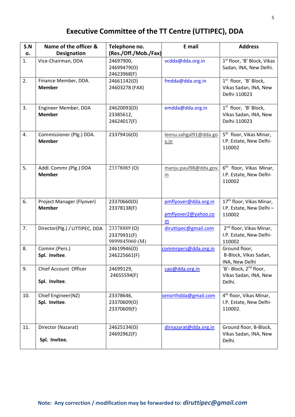### **Executive Committee of the TT Centre (UTTIPEC), DDA**

| S.N<br>о. | Name of the officer &<br><b>Designation</b> | Telephone no.<br>(Res./Off./Mob./Fax)         | E mail                                           | <b>Address</b>                                                             |
|-----------|---------------------------------------------|-----------------------------------------------|--------------------------------------------------|----------------------------------------------------------------------------|
| 1.        | Vice-Chairman, DDA                          | 24697900,<br>24699479(O)<br>24623968(F)       | vcdda@dda.org.in                                 | 1st floor, 'B' Block, Vikas<br>Sadan, INA, New Delhi.                      |
| 2.        | Finance Member, DDA.<br><b>Member</b>       | 24661142(O)<br>24603278 (FAX)                 | fmdda@dda.org.in                                 | 1 <sup>st</sup> floor, 'B' Block,<br>Vikas Sadan, INA, New<br>Delhi-110023 |
| 3.        | Engineer Member, DDA<br><b>Member</b>       | 24620093(O)<br>23385612,<br>24624017(F)       | emdda@dda.org.in                                 | 1 <sup>st</sup> floor, 'B' Block,<br>Vikas Sadan, INA, New<br>Delhi-110023 |
| 4.        | Commissioner (Plg.) DDA.<br><b>Member</b>   | 23379416(O)                                   | leenu.sahgal91@dda.go<br>v.in                    | 5 <sup>th</sup> floor, Vikas Minar,<br>I.P. Estate, New Delhi-<br>110002   |
| 5.        | Addl. Commr.(Plg.) DDA<br><b>Member</b>     | 23378085 (O)                                  | manju.paul98@dda.gov.<br>$\underline{\text{in}}$ | 6 <sup>th</sup> floor, Vikas Minar,<br>I.P. Estate, New Delhi-<br>110002   |
| 6.        | Project Manager (Flyover)<br><b>Member</b>  | 23370660(O)<br>23378138(F)                    | pmflyover@dda.org.in<br>pmflyover2@yahoo.co<br>m | 17 <sup>th</sup> floor, Vikas Minar,<br>I.P. Estate, New Delhi-<br>110002  |
| 7.        | Director(Plg.) / UTTIPEC, DDA               | 23378889 (O)<br>23379931(F)<br>9899845060 (M) | diruttipec@gmail.com                             | 2 <sup>nd</sup> floor, Vikas Minar,<br>I.P. Estate, New Delhi-<br>110002   |
| 8.        | Commr.(Pers.)<br>Spl. Invitee.              | 24619946(O)<br>246225661(F)                   | commrpers@dda.org.in                             | Ground floor,<br>B-Block, Vikas Sadan,<br>INA, New Delhi                   |
| 9.        | Chief Account Officer<br>Spl. Invitee.      | 24699129,<br>24655594(F)                      | cao@dda.org.in                                   | 'B'- Block, 2 <sup>nd</sup> floor,<br>Vikas Sadan, INA, New<br>Delhi.      |
| 10.       | Chief Engineer(NZ)<br>Spl. Invitee.         | 23378646,<br>23370609(O)<br>23370609(F)       | senorthdda@gmail.com                             | 4 <sup>th</sup> floor, Vikas Minar,<br>I.P. Estate, New Delhi-<br>110002.  |
| 11.       | Director (Nazarat)<br>Spl. Invitee.         | 24625134(O)<br>24692962(F)                    | dirnazarat@dda.org.in                            | Ground floor, B-Block,<br>Vikas Sadan, INA, New<br>Delhi.                  |